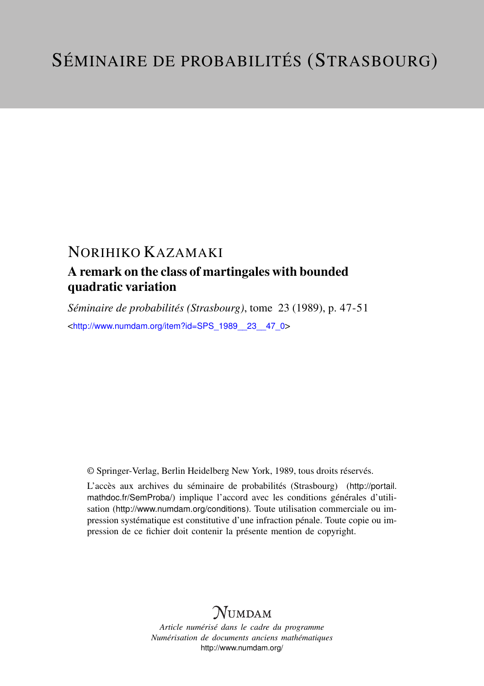## NORIHIKO KAZAMAKI

### A remark on the class of martingales with bounded quadratic variation

*Séminaire de probabilités (Strasbourg)*, tome 23 (1989), p. 47-51 <[http://www.numdam.org/item?id=SPS\\_1989\\_\\_23\\_\\_47\\_0](http://www.numdam.org/item?id=SPS_1989__23__47_0)>

© Springer-Verlag, Berlin Heidelberg New York, 1989, tous droits réservés.

L'accès aux archives du séminaire de probabilités (Strasbourg) ([http://portail.](http://portail.mathdoc.fr/SemProba/) [mathdoc.fr/SemProba/](http://portail.mathdoc.fr/SemProba/)) implique l'accord avec les conditions générales d'utilisation (<http://www.numdam.org/conditions>). Toute utilisation commerciale ou impression systématique est constitutive d'une infraction pénale. Toute copie ou impression de ce fichier doit contenir la présente mention de copyright.

# **NUMDAM**

*Article numérisé dans le cadre du programme Numérisation de documents anciens mathématiques* <http://www.numdam.org/>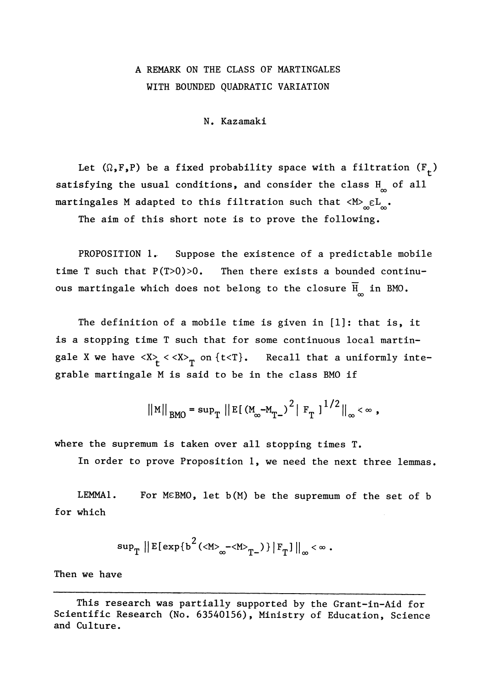#### A REMARK ON THE CLASS OF MARTINGALES WITH BOUNDED QUADRATIC VARIATION

N. Kazamaki

Let  $(\Omega, F, P)$  be a fixed probability space with a filtration  $(F<sub>+</sub>)$ satisfying the usual conditions, and consider the class  $H_{\infty}$  of all martingales M adapted to this filtration such that  $\langle M \rangle_{\infty} \in L_{\infty}$ .

The aim of this short note is to prove the following.

PROPOSITION 1. Suppose the existence of a predictable mobile time T such that P(T>0)>0. Then there exists a bounded continuous martingale which does not belong to the closure  $\overline{H}_{\infty}$  in BMO.

The definition of a mobile time is given in [1]: that is, it is a stopping time T such that for some continuous local martingale X we have  $\langle X \rangle$   $\langle \langle X \rangle$  on  $\{t \langle T\}$ . Recall that a uniformly integrable martingale M is said to be in the class BMO if

 $\|M\|_{BMO} = \sup_{T} \|E[(M_{\infty}-M_{T-})^{2} | F_{T}|]^{1/2} \|_{\infty} < \infty$ ,

where the supremum is taken over all stopping times T.

In order to prove Proposition 1, we need the next three lemmas.

LEMMA1. For MeBMO, let b(M) be the supremum of the set of b for which

$$
\sup\nolimits_{T} \|E[\exp\{b^2(\langle M\rangle_{\infty}-\langle M\rangle_{T-})\}|_{T}]\|_{\infty} < \infty.
$$

Then we have

This research was partially supported by the Grant-in-Aid for Scientific Research (No. 63540156), Ministry of Education, Science and Culture.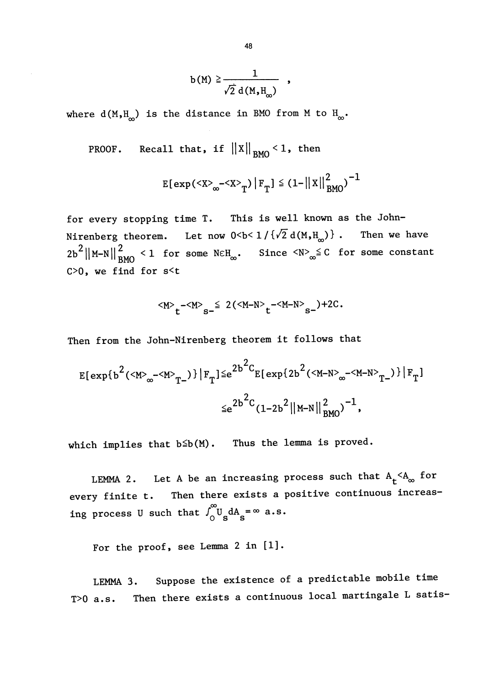$$
b(M) \geq \frac{1}{\sqrt{2} d(M,H_{\infty})} ,
$$

where  $d(M,H_{\infty})$  is the distance in BMO from M to  $H_{\infty}$ .

**PROOF.** Recall that, if 
$$
||X||_{BMO} < 1
$$
, then

$$
E[exp(_{\infty}-_{T})|F_{T}] \leq (1-||X||_{BMO}^{2})^{-1}
$$

for every stopping time T. This is well known as the John-Nirenberg theorem. Let now  $0 < b < 1 / {\sqrt{2} d(M,H_{\infty}) }$ . Then we have  $2b^2{\left\|\mathbf{M}-\mathbf{N}\right\|}^2_{\text{BMO}}$  < 1 for some NEH<sub>∞</sub>. Since  $\langle \mathbf{N} \rangle_{\infty} \leq C$  for some constant  $C>0$ , we find for  $s< t$ 

$$
\langle M \rangle_t - \langle M \rangle_s = \frac{1}{2} \left( \langle M - N \rangle_t - \langle M - N \rangle_s \right) + 2C.
$$

Then from the John-Nirenberg theorem it follows that

$$
E[\exp\{b^{2}(\langle M \rangle_{\infty} - \langle M \rangle_{T^{-}})\} | F_{T}] \leq e^{2b^{2}C} E[\exp\{2b^{2}(\langle M - N \rangle_{\infty} - \langle M - N \rangle_{T^{-}})\} | F_{T}]
$$
  

$$
\leq e^{2b^{2}C} (1 - 2b^{2} ||M - N||^{2}_{BMO})^{-1},
$$

which implies that  $b \leq b(M)$ . Thus the lemma is proved.

LEMMA 2. Let A be an increasing process such that  $A_t < A_\infty$  for every finite t. Then there exists a positive continuous increasing process U such that  $\int_0^\infty U_s dA_s = \infty$  a.s.

For the proof, see Lemma 2 in [1].

LEMMA 3. Suppose the existence of a predictable mobile time T>0 a.s. Then there exists a continuous local martingale L satis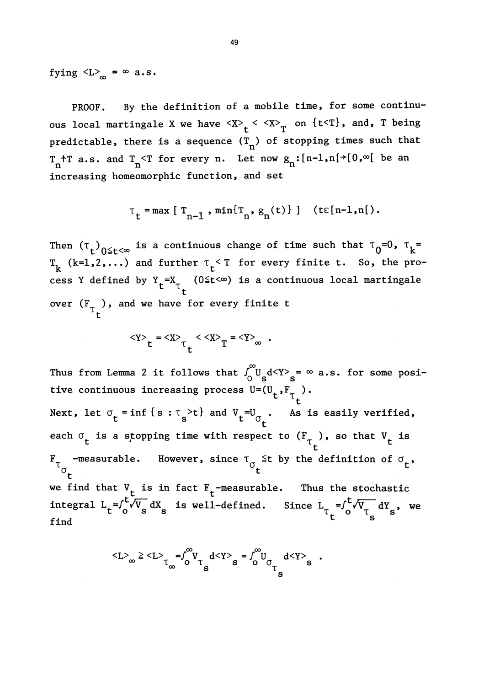fying  $\langle L \rangle_{\infty} = \infty$  a.s.

PROOF. By the definition of a mobile time, for some continuous local martingale X we have  $\langle X \rangle_t \langle \langle X \rangle_T$  on  $\{t \langle T\},\$  and, T being predictable, there is a sequence  $(T_n)$  of stopping times such that  $T_{n}$ <sup>+</sup>T a.s. and  $T_{n}$ <T for every n. Let now  $g_{n}$ : [n-1,n[+[0, $\infty$ [ be an increasing homeomorphic function, and set

$$
\tau_t = \max [ T_{n-1}, \min \{ T_n, g_n(t) \} ]
$$
 (te[n-1,n]).

Then  $(\tau_t)_{0 \leq t \leq \infty}$  is a continuous change of time such that  $\tau_0=0$ ,  $\tau_k=$  $T_k$  (k=1,2,...) and further  $\tau_t$  or every finite t. So, the prodefined by  $Y_{_{\mathsf{F}}}$  =X $_{_{\mathsf{T}}}$   $\,$  (O $\leq$ t $<$ ∞) is a continuous local martingale t over  $(F_{T_{L}})$ , and we have for every finite t

$$
\langle Y \rangle_t = \langle X \rangle_t \langle X \rangle_T = \langle Y \rangle_\infty .
$$

Thus from Lemma 2 it follows that  $\int_0^\infty U_s dY \rangle_s = \infty$  a.s. for some posicontinuous increasing

t Next, let  $\sigma_t = \inf \{ s : \tau_s > t \}$  and  $V_t = U_{\sigma_t}$ . As is easily verified, each  $\sigma_{\bf t}$  is a stopping time with respect to  $({\tt F}_{\tau})$ , so that  ${\tt V}_{\bf t}$  is  $\mathbb{F}_{\tau_{\mathcal{A}}}$  -measurable. However, since  $\tau_{\sigma_{\mathcal{L}}}$  it by the definition of  $\sigma_{\mathcal{L}},$  $\sigma_{\mathbf{t}}$  to the set of  $\mathbf{t}$ we find that  $V_t$  is in fact  $F_t$ -measurable. Thus the stochastic integral  $L_t = \int_0^t \sqrt{V_s} dX_s$  is well-defined. Since  $L_t = \int_0^t \sqrt{V_t} dY_s$ , we find

$$
\langle L \rangle_\infty \ge \langle L \rangle_\tau \underset{\sigma}{=} \int_0^\infty V_\tau \frac{d \langle Y \rangle}{s} s = \int_0^\infty U_{\sigma} \frac{d \langle Y \rangle}{s} s \quad .
$$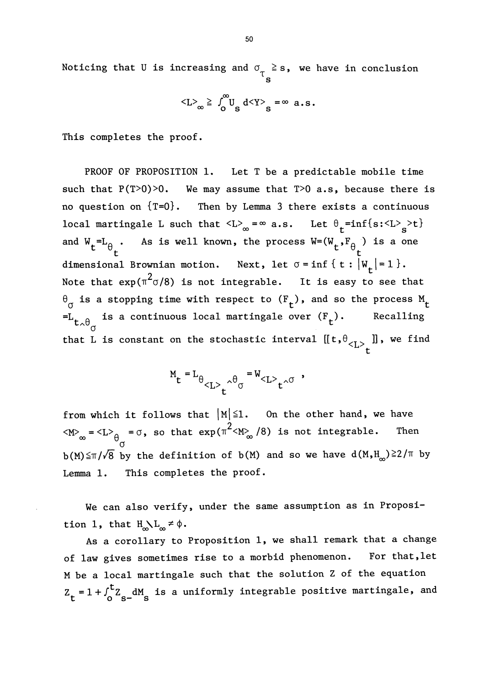Noticing that U is increasing and  $\sigma_{\tau} \geq$ s, we have in conclusion

$$
\langle L \rangle_{\infty} \geq \int_{0}^{\infty} U_{S} d \langle Y \rangle_{S} = \infty \text{ a.s.}
$$

This completes the proof.

PROOF OF PROPOSITION 1. Let T be a predictable mobile time such that  $P(T>0)>0$ . We may assume that  $T>0$  a.s, because there is no question on  ${T=0}$ . Then by Lemma 3 there exists a continuous local martingale L such that  $\langle L \rangle_{\infty} = \infty$  a.s. Let  $\theta_t = \inf\{s : \langle L \rangle_s > t\}$ and  $W_t = L_{\theta_t}$ . As is well known, the process  $W = (W_t, F_{\theta_t})$  is a one dimensional Brownian motion. Next, let  $\sigma = \inf \{ t : |W_t| = 1 \}.$ Note that  $\exp(\pi^2 \sigma/8)$  is not integrable. It is easy to see that  $\theta_{\sigma}$  is a stopping time with respect to  $(F_t)$ , and so the process  $M_t$ <br>=L<sub>+ A</sub> is a continuous local martingale over  $(F_t)$ . Recalling  ${}^{=L}L_{\lambda\theta_{\alpha}}$  is a continuous local martingale over  $(F_t)$ . that L is constant on the stochastic interval  $\left[\left[\mathsf{t}{,}\theta_{<\mathrm{L}>}\right] \right]$ , we find

$$
M_t = L_{\theta} \left(1 \right) \int_t^{\theta} e^{-W} \left(1 \right) e^{-W} \left(1 \right) e^{-W} \left(1 \right) e^{-W} \left(1 \right) e^{-W} \left(1 \right) e^{-W} \left(1 \right) e^{-W} \left(1 \right) e^{-W} \left(1 \right) e^{-W} \left(1 \right) e^{-W} \left(1 \right) e^{-W} \left(1 \right) e^{-W} \left(1 \right) e^{-W} \left(1 \right) e^{-W} \left(1 \right) e^{-W} \left(1 \right) e^{-W} \left(1 \right) e^{-W} \left(1 \right) e^{-W} \left(1 \right) e^{-W} \left(1 \right) e^{-W} \left(1 \right) e^{-W} \left(1 \right) e^{-W} \left(1 \right) e^{-W} \left(1 \right) e^{-W} \left(1 \right) e^{-W} \left(1 \right) e^{-W} \left(1 \right) e^{-W} \left(1 \right) e^{-W} \left(1 \right) e^{-W} \left(1 \right) e^{-W} \left(1 \right) e^{-W} \left(1 \right) e^{-W} \left(1 \right) e^{-W} \left(1 \right) e^{-W} \left(1 \right) e^{-W} \left(1 \right) e^{-W} \left(1 \right) e^{-W} \left(1 \right) e^{-W} \left(1 \right) e^{-W} \left(1 \right) e^{-W} \left(1 \right) e^{-W} \left(1 \right) e^{-W} \left(1 \right) e^{-W} \left(1 \right) e^{-W} \left(1 \right) e^{-W} \left(1 \right) e^{-W} \left(1 \right) e^{-W} \left(1 \right) e^{-W} \left(1 \right) e^{-W} \left(1 \right) e^{-W} \left(1 \right) e^{-W} \left(1 \right) e^{-W} \left(1 \right) e^{-W} \left(1 \right) e^{-W} \left(1 \right) e^{-W} \left(1 \right) e^{-W} \left(1 \right) e^{-W} \left(1 \right) e^{-W} \left(1 \right) e^{-W} \left(1 \right) e^{-W} \left(1 \right) e^{-W} \left(1 \right) e^{-W} \left(1 \right) e^{-W} \left(1 \right) e^{-W} \left(1 \right) e^{-W} \left(1 \right) e^{-W} \left(1 \right) e^{-W} \left(1 \right)
$$

from which it follows that  $|M| \leq 1$ . On the other hand, we have  $\langle M \rangle_{\infty} = \langle L \rangle_{\theta} = \sigma$ , so that  $\exp(\pi^2 \langle M \rangle_{\infty} / 8)$  is not integrable. Then  $b(M) \leq \pi/\sqrt{8}$  by the definition of  $b(M)$  and so we have  $d(M,H_m) \geq 2/\pi$  by Lemma 1. This completes the proof.

We can also verify, under the same assumption as in Proposition 1, that  $H_{\infty} L_{\infty} \neq \emptyset$ .

As a corollary to Proposition 1, we shall remark that a change of law gives sometimes rise to a morbid phenomenon. For that,let M be a local martingale such that the solution Z of the equation  $Z_t = 1 + \int_0^t Z_{s-} dM$  is a uniformly integrable positive martingale, and